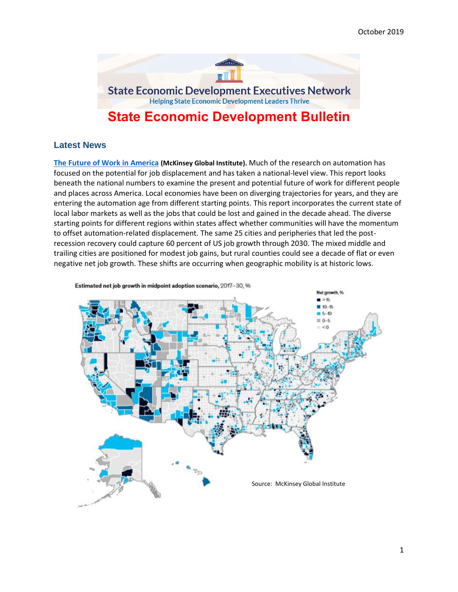

# **State Economic Development Bulletin**

# **Latest News**

**[The Future of Work in America](https://www.mckinsey.com/featured-insights/future-of-work/the-future-of-work-in-america-people-and-places-today-and-tomorrow) (McKinsey Global Institute).** Much of the research on automation has focused on the potential for job displacement and has taken a national-level view. This report looks beneath the national numbers to examine the present and potential future of work for different people and places across America. Local economies have been on diverging trajectories for years, and they are entering the automation age from different starting points. This report incorporates the current state of local labor markets as well as the jobs that could be lost and gained in the decade ahead. The diverse starting points for different regions within states affect whether communities will have the momentum to offset automation-related displacement. The same 25 cities and peripheries that led the postrecession recovery could capture 60 percent of US job growth through 2030. The mixed middle and trailing cities are positioned for modest job gains, but rural counties could see a decade of flat or even negative net job growth. These shifts are occurring when geographic mobility is at historic lows.

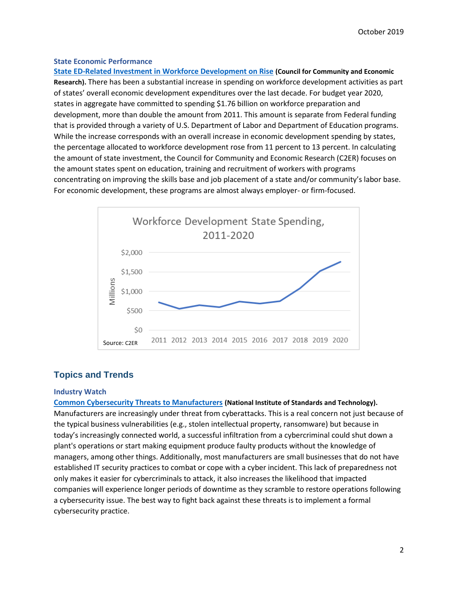### **State Economic Performance**

**[State ED-Related Investment in Workforce Development on Rise](http://blog.c2er.org/2019/10/state-investment-in-workforce-development-on-the-rise/) (Council for Community and Economic Research).** There has been a substantial increase in spending on workforce development activities as part of states' overall economic development expenditures over the last decade. For budget year 2020, states in aggregate have committed to spending \$1.76 billion on workforce preparation and development, more than double the amount from 2011. This amount is separate from Federal funding that is provided through a variety of U.S. Department of Labor and Department of Education programs. While the increase corresponds with an overall increase in economic development spending by states, the percentage allocated to workforce development rose from 11 percent to 13 percent. In calculating the amount of state investment, the Council for Community and Economic Research (C2ER) focuses on the amount states spent on education, training and recruitment of workers with programs concentrating on improving the skills base and job placement of a state and/or community's labor base. For economic development, these programs are almost always employer- or firm-focused.



# **Topics and Trends**

## **Industry Watch**

**[Common Cybersecurity Threats to Manufacturers](https://www.nist.gov/blogs/manufacturing-innovation-blog/5-most-common-cybersecurity-threats-manufacturers?utm_medium=email&utm_source=marketingcloud&utm_campaign=) (National Institute of Standards and Technology).** Manufacturers are increasingly under threat from cyberattacks. This is a real concern not just because of the typical business vulnerabilities (e.g., stolen intellectual property, ransomware) but because in today's increasingly connected world, a successful infiltration from a cybercriminal could shut down a plant's operations or start making equipment produce faulty products without the knowledge of managers, among other things. Additionally, most manufacturers are small businesses that do not have established IT security practices to combat or cope with a cyber incident. This lack of preparedness not only makes it easier for cybercriminals to attack, it also increases the likelihood that impacted companies will experience longer periods of downtime as they scramble to restore operations following a cybersecurity issue. The best way to fight back against these threats is to implement a formal cybersecurity practice.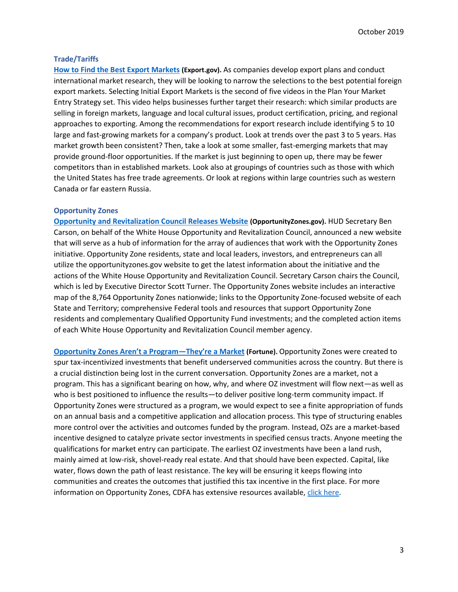### **Trade/Tariffs**

**[How to Find the Best Export Markets](https://www.export.gov/article?id=Developing-a-Marketing-Plan) (Export.gov).** As companies develop export plans and conduct international market research, they will be looking to narrow the selections to the best potential foreign export markets. Selecting Initial Export Markets is the second of five videos in the Plan Your Market Entry Strategy set. This video helps businesses further target their research: which similar products are selling in foreign markets, language and local cultural issues, product certification, pricing, and regional approaches to exporting. Among the recommendations for export research include identifying 5 to 10 large and fast-growing markets for a company's product. Look at trends over the past 3 to 5 years. Has market growth been consistent? Then, take a look at some smaller, fast-emerging markets that may provide ground-floor opportunities. If the market is just beginning to open up, there may be fewer competitors than in established markets. Look also at groupings of countries such as those with which the United States has free trade agreements. Or look at regions within large countries such as western Canada or far eastern Russia.

### **Opportunity Zones**

**[Opportunity and Revitalization Council Releases Website](https://opportunityzones.hud.gov/) (OpportunityZones.gov).** HUD Secretary Ben Carson, on behalf of the White House Opportunity and Revitalization Council, announced a new website that will serve as a hub of information for the array of audiences that work with the Opportunity Zones initiative. Opportunity Zone residents, state and local leaders, investors, and entrepreneurs can all utilize the opportunityzones.gov website to get the latest information about the initiative and the actions of the White House Opportunity and Revitalization Council. Secretary Carson chairs the Council, which is led by Executive Director Scott Turner. The Opportunity Zones website includes an interactive map of the 8,764 Opportunity Zones nationwide; links to the Opportunity Zone-focused website of each State and Territory; comprehensive Federal tools and resources that support Opportunity Zone residents and complementary Qualified Opportunity Fund investments; and the completed action items of each White House Opportunity and Revitalization Council member agency.

**[Opportunity Zones Aren't a Program—They're a Market](https://fortune.com/2019/10/03/opportunity-zones-market-investment/) (Fortune).** Opportunity Zones were created to spur tax-incentivized investments that benefit underserved communities across the country. But there is a crucial distinction being lost in the current conversation. Opportunity Zones are a market, not a program. This has a significant bearing on how, why, and where OZ investment will flow next—as well as who is best positioned to influence the results—to deliver positive long-term community impact. If Opportunity Zones were structured as a program, we would expect to see a finite appropriation of funds on an annual basis and a competitive application and allocation process. This type of structuring enables more control over the activities and outcomes funded by the program. Instead, OZs are a market-based incentive designed to catalyze private sector investments in specified census tracts. Anyone meeting the qualifications for market entry can participate. The earliest OZ investments have been a land rush, mainly aimed at low-risk, shovel-ready real estate. And that should have been expected. Capital, like water, flows down the path of least resistance. The key will be ensuring it keeps flowing into communities and creates the outcomes that justified this tax incentive in the first place. For more information on Opportunity Zones, CDFA has extensive resources available, [click here.](https://www.cdfa.net/cdfa/cdfaweb.nsf/resourcecenters/OZ.html)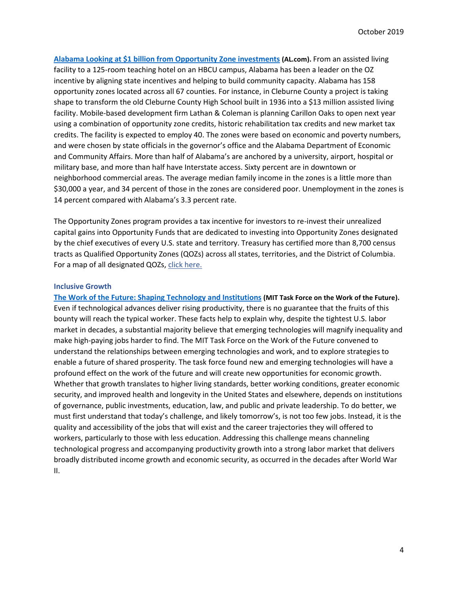**[Alabama Looking at \\$1 billion from Opportunity Zone investments](https://www.al.com/business/2019/09/alabama-looking-at-1-billion-from-opportunity-zone-investments.html?utm_source=Morning+Clips&utm_campaign=8e84ae8e65-EMAIL_CAMPAIGN_2019_09_16_02_27&utm_medium=email&utm_term=0_a88d8748c2-8e84ae8e65-167392865) (AL.com).** From an assisted living facility to a 125-room teaching hotel on an HBCU campus, Alabama has been a leader on the OZ incentive by aligning state incentives and helping to build community capacity. Alabama has 158 opportunity zones located across all 67 counties. For instance, in Cleburne County a project is taking shape to transform the old Cleburne County High School built in 1936 into a \$13 million assisted living facility. Mobile-based development firm Lathan & Coleman is planning Carillon Oaks to open next year using a combination of opportunity zone credits, historic rehabilitation tax credits and new market tax credits. The facility is expected to employ 40. The zones were based on economic and poverty numbers, and were chosen by state officials in the governor's office and the Alabama Department of Economic and Community Affairs. More than half of Alabama's are anchored by a university, airport, hospital or military base, and more than half have Interstate access. Sixty percent are in downtown or neighborhood commercial areas. The average median family income in the zones is a little more than \$30,000 a year, and 34 percent of those in the zones are considered poor. Unemployment in the zones is 14 percent compared with Alabama's 3.3 percent rate.

The Opportunity Zones program provides a tax incentive for investors to re-invest their unrealized capital gains into Opportunity Funds that are dedicated to investing into Opportunity Zones designated by the chief executives of every U.S. state and territory. Treasury has certified more than 8,700 census tracts as Qualified Opportunity Zones (QOZs) across all states, territories, and the District of Columbia. For a map of all designated QOZs, [click here.](https://eig.org/news/opportunity-zones-map-comes-focus)

### **Inclusive Growth**

**[The Work of the Future: Shaping Technology and Institutions](https://workofthefuture.mit.edu/sites/default/files/2019-09/WorkoftheFuture_Report_Shaping_Technology_and_Institutions.pdf) (MIT Task Force on the Work of the Future).**  Even if technological advances deliver rising productivity, there is no guarantee that the fruits of this bounty will reach the typical worker. These facts help to explain why, despite the tightest U.S. labor market in decades, a substantial majority believe that emerging technologies will magnify inequality and make high-paying jobs harder to find. The MIT Task Force on the Work of the Future convened to understand the relationships between emerging technologies and work, and to explore strategies to enable a future of shared prosperity. The task force found new and emerging technologies will have a profound effect on the work of the future and will create new opportunities for economic growth. Whether that growth translates to higher living standards, better working conditions, greater economic security, and improved health and longevity in the United States and elsewhere, depends on institutions of governance, public investments, education, law, and public and private leadership. To do better, we must first understand that today's challenge, and likely tomorrow's, is not too few jobs. Instead, it is the quality and accessibility of the jobs that will exist and the career trajectories they will offered to workers, particularly to those with less education. Addressing this challenge means channeling technological progress and accompanying productivity growth into a strong labor market that delivers broadly distributed income growth and economic security, as occurred in the decades after World War II.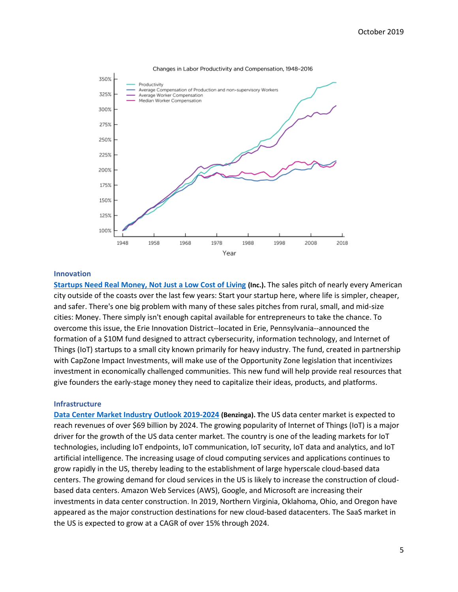

#### Changes in Labor Productivity and Compensation, 1948-2016

### **Innovation**

**[Startups Need Real Money, Not Just a Low Cost of Living](https://www.inc.com/dustin-mckissen/startups-need-real-money-not-just-a-low-cost-of-living-in-this-pennsylvania-city-they-can-find-both.html) (Inc.).** The sales pitch of nearly every American city outside of the coasts over the last few years: Start your startup here, where life is simpler, cheaper, and safer. There's one big problem with many of these sales pitches from rural, small, and mid-size cities: Money. There simply isn't enough capital available for entrepreneurs to take the chance. To overcome this issue, the Erie Innovation District--located in Erie, Pennsylvania--announced the formation of a \$10M fund designed to attract cybersecurity, information technology, and Internet of Things (IoT) startups to a small city known primarily for heavy industry. The fund, created in partnership with CapZone Impact Investments, will make use of the Opportunity Zone legislation that incentivizes investment in economically challenged communities. This new fund will help provide real resources that give founders the early-stage money they need to capitalize their ideas, products, and platforms.

### **Infrastructure**

**[Data Center Market Industry Outlook 2019-2024](https://www.benzinga.com/pressreleases/19/09/b14456240/united-states-data-center-market-industry-outlook-and-forecast-report-2019-2024-researchandmarkets) (Benzinga). T**he US data center market is expected to reach revenues of over \$69 billion by 2024. The growing popularity of Internet of Things (IoT) is a major driver for the growth of the US data center market. The country is one of the leading markets for IoT technologies, including IoT endpoints, IoT communication, IoT security, IoT data and analytics, and IoT artificial intelligence. The increasing usage of cloud computing services and applications continues to grow rapidly in the US, thereby leading to the establishment of large hyperscale cloud-based data centers. The growing demand for cloud services in the US is likely to increase the construction of cloudbased data centers. Amazon Web Services (AWS), Google, and Microsoft are increasing their investments in data center construction. In 2019, Northern Virginia, Oklahoma, Ohio, and Oregon have appeared as the major construction destinations for new cloud-based datacenters. The SaaS market in the US is expected to grow at a CAGR of over 15% through 2024.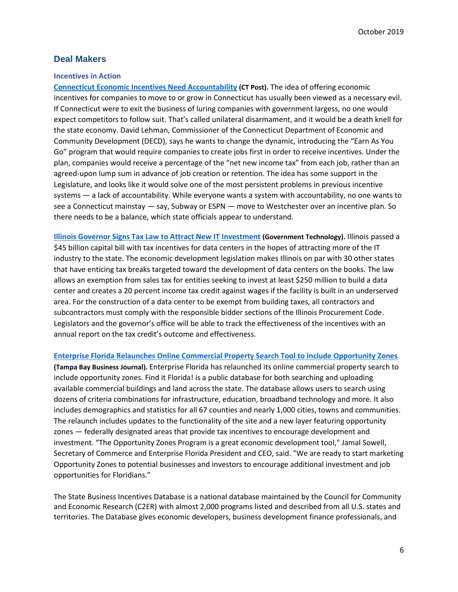# **Deal Makers**

### **Incentives in Action**

**[Connecticut Economic Incentives Need Accountability](https://www.ctpost.com/opinion/article/Editorial-Economic-incentives-need-accountability-14504548.php#photo-18405513) (CT Post).** The idea of offering economic incentives for companies to move to or grow in Connecticut has usually been viewed as a necessary evil. If Connecticut were to exit the business of luring companies with government largess, no one would expect competitors to follow suit. That's called unilateral disarmament, and it would be a death knell for the state economy. David Lehman, Commissioner of the Connecticut Department of Economic and Community Development (DECD), says he wants to change the dynamic, introducing the "Earn As You Go" program that would require companies to create jobs first in order to receive incentives. Under the plan, companies would receive a percentage of the "net new income tax" from each job, rather than an agreed-upon lump sum in advance of job creation or retention. The idea has some support in the Legislature, and looks like it would solve one of the most persistent problems in previous incentive systems — a lack of accountability. While everyone wants a system with accountability, no one wants to see a Connecticut mainstay — say, Subway or ESPN — move to Westchester over an incentive plan. So there needs to be a balance, which state officials appear to understand.

**[Illinois Governor Signs Tax Law to Attract New IT Investment](https://www.govtech.com/policy/Illinois-Governor-Signs-Tax-Law-to-Attract-New-IT-Investment.html?utm_term=READ%20MORE&utm_campaign=Cybersecurity%20and%20Democracy%20Collide%3A%20Locking%20Down%20Elections&utm_content=email&utm_source=Act-On+Software&utm_medium=email) (Government Technology).** Illinois passed a \$45 billion capital bill with tax incentives for data centers in the hopes of attracting more of the IT industry to the state. The economic development legislation makes Illinois on par with 30 other states that have enticing tax breaks targeted toward the development of data centers on the books. The law allows an exemption from sales tax for entities seeking to invest at least \$250 million to build a data center and creates a 20 percent income tax credit against wages if the facility is built in an underserved area. For the construction of a data center to be exempt from building taxes, all contractors and subcontractors must comply with the responsible bidder sections of the Illinois Procurement Code. Legislators and the governor's office will be able to track the effectiveness of the incentives with an annual report on the tax credit's outcome and effectiveness.

**[Enterprise Florida Relaunches Online Commercial Property Search Tool to Include Opportunity Zones](https://www.bizjournals.com/tampabay/news/2019/10/09/enterprise-florida-relaunches-online-commercial.html)**

**(Tampa Bay Business Journal).** Enterprise Florida has relaunched its online commercial property search to include opportunity zones. Find it Florida! is a public database for both searching and uploading available commercial buildings and land across the state. The database allows users to search using dozens of criteria combinations for infrastructure, education, broadband technology and more. It also includes demographics and statistics for all 67 counties and nearly 1,000 cities, towns and communities. The relaunch includes updates to the functionality of the site and a new layer featuring opportunity zones — federally designated areas that provide tax incentives to encourage development and investment. "The Opportunity Zones Program is a great economic development tool," Jamal Sowell, Secretary of Commerce and Enterprise Florida President and CEO, said. "We are ready to start marketing Opportunity Zones to potential businesses and investors to encourage additional investment and job opportunities for Floridians."

The State Business Incentives Database is a national database maintained by the Council for Community and Economic Research (C2ER) with almost 2,000 programs listed and described from all U.S. states and territories. The Database gives economic developers, business development finance professionals, and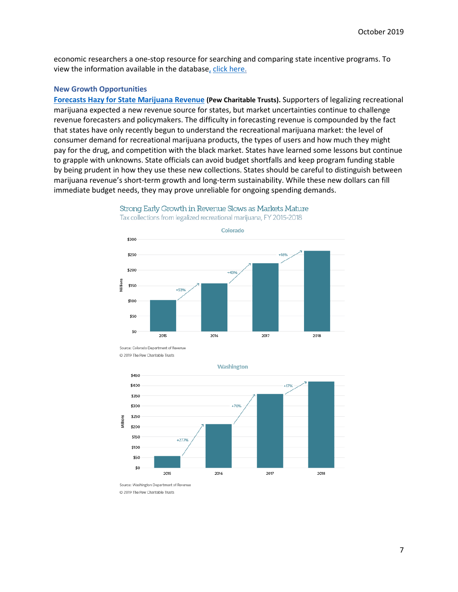economic researchers a one-stop resource for searching and comparing state incentive programs. To view the information available in the database, [click here.](http://www.stateincentives.org/)

### **New Growth Opportunities**

**[Forecasts Hazy for State Marijuana Revenue](https://www.pewtrusts.org/en/research-and-analysis/issue-briefs/2019/08/forecasts-hazy-for-state-marijuana-revenue?utm_source=MEP+State+News&utm_campaign=ccb1e85f88-EMAIL_CAMPAIGN_2019_09_29_11_41&utm_medium=email&utm_term=0_69a1ce5d24-ccb1e85f88-220196877) (Pew Charitable Trusts).** Supporters of legalizing recreational marijuana expected a new revenue source for states, but market uncertainties continue to challenge revenue forecasters and policymakers. The difficulty in forecasting revenue is compounded by the fact that states have only recently begun to understand the recreational marijuana market: the level of consumer demand for recreational marijuana products, the types of users and how much they might pay for the drug, and competition with the black market. States have learned some lessons but continue to grapple with unknowns. State officials can avoid budget shortfalls and keep program funding stable by being prudent in how they use these new collections. States should be careful to distinguish between marijuana revenue's short-term growth and long-term sustainability. While these new dollars can fill immediate budget needs, they may prove unreliable for ongoing spending demands.



Strong Early Growth in Revenue Slows as Markets Mature Tax collections from legalized recreational marijuana, FY 2015-2018

Source: Colorado Department of Revenue @ 2019 The Pew Charitable Trusts



Source: Washington Department of Revenue @ 2019 The Pew Charitable Trusts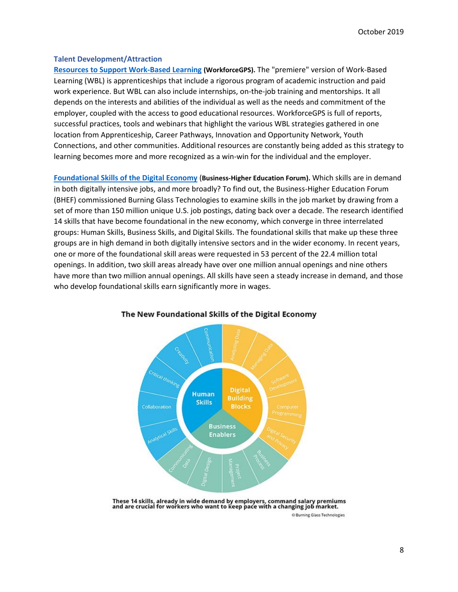### **Talent Development/Attraction**

**[Resources to Support Work-Based Learning](https://www.workforcegps.org/resources/2019/10/02/13/27/Resources-to-Support-Work-Based-Learning) (WorkforceGPS).** The "premiere" version of Work-Based Learning (WBL) is apprenticeships that include a rigorous program of academic instruction and paid work experience. But WBL can also include internships, on-the-job training and mentorships. It all depends on the interests and abilities of the individual as well as the needs and commitment of the employer, coupled with the access to good educational resources. WorkforceGPS is full of reports, successful practices, tools and webinars that highlight the various WBL strategies gathered in one location from Apprenticeship, Career Pathways, Innovation and Opportunity Network, Youth Connections, and other communities. Additional resources are constantly being added as this strategy to learning becomes more and more recognized as a win-win for the individual and the employer.

**[Foundational Skills of the Digital Economy](https://www.bhef.com/sites/default/files/BHEF_2018_New_Foundational_Skills.pdf)** (**Business-Higher Education Forum).** Which skills are in demand in both digitally intensive jobs, and more broadly? To find out, the Business-Higher Education Forum (BHEF) commissioned Burning Glass Technologies to examine skills in the job market by drawing from a set of more than 150 million unique U.S. job postings, dating back over a decade. The research identified 14 skills that have become foundational in the new economy, which converge in three interrelated groups: Human Skills, Business Skills, and Digital Skills. The foundational skills that make up these three groups are in high demand in both digitally intensive sectors and in the wider economy. In recent years, one or more of the foundational skill areas were requested in 53 percent of the 22.4 million total openings. In addition, two skill areas already have over one million annual openings and nine others have more than two million annual openings. All skills have seen a steady increase in demand, and those who develop foundational skills earn significantly more in wages.



## The New Foundational Skills of the Digital Economy

These 14 skills, already in wide demand by employers, command salary premiums<br>and are crucial for workers who want to keep pace with a changing job market.

C Burning Glass Technologies